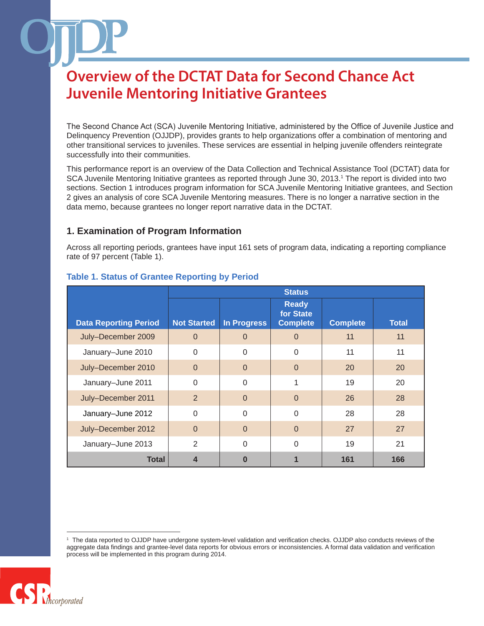The Second Chance Act (SCA) Juvenile Mentoring Initiative, administered by the Office of Juvenile Justice and Delinquency Prevention (OJJDP), provides grants to help organizations offer a combination of mentoring and other transitional services to juveniles. These services are essential in helping juvenile offenders reintegrate successfully into their communities.

This performance report is an overview of the Data Collection and Technical Assistance Tool (DCTAT) data for SCA Juvenile Mentoring Initiative grantees as reported through June 30, 2013.1 The report is divided into two sections. Section 1 introduces program information for SCA Juvenile Mentoring Initiative grantees, and Section 2 gives an analysis of core SCA Juvenile Mentoring measures. There is no longer a narrative section in the data memo, because grantees no longer report narrative data in the DCTAT.

### **1. Examination of Program Information**

Across all reporting periods, grantees have input 161 sets of program data, indicating a reporting compliance rate of 97 percent (Table 1).

|                              | <b>Status</b>      |                    |                                              |                 |              |
|------------------------------|--------------------|--------------------|----------------------------------------------|-----------------|--------------|
| <b>Data Reporting Period</b> | <b>Not Started</b> | <b>In Progress</b> | <b>Ready</b><br>for State<br><b>Complete</b> | <b>Complete</b> | <b>Total</b> |
| July-December 2009           | $\Omega$           | $\Omega$           | 0                                            | 11              | 11           |
| January-June 2010            | $\Omega$           | $\Omega$           | $\Omega$                                     | 11              | 11           |
| July-December 2010           | $\Omega$           | $\Omega$           | $\Omega$                                     | 20              | 20           |
| January-June 2011            | $\Omega$           | $\Omega$           |                                              | 19              | 20           |
| July-December 2011           | $\overline{2}$     | $\Omega$           | $\Omega$                                     | 26              | 28           |
| January-June 2012            | $\Omega$           | $\Omega$           | $\Omega$                                     | 28              | 28           |
| July-December 2012           | $\Omega$           | $\Omega$           | $\Omega$                                     | 27              | 27           |
| January-June 2013            | 2                  | $\Omega$           | $\Omega$                                     | 19              | 21           |
| <b>Total</b>                 | 4                  | O                  |                                              | 161             | 166          |

### **Table 1. Status of Grantee Reporting by Period**

<sup>1</sup> The data reported to OJJDP have undergone system-level validation and verification checks. OJJDP also conducts reviews of the aggregate data findings and grantee-level data reports for obvious errors or inconsistencies. A formal data validation and verification process will be implemented in this program during 2014.

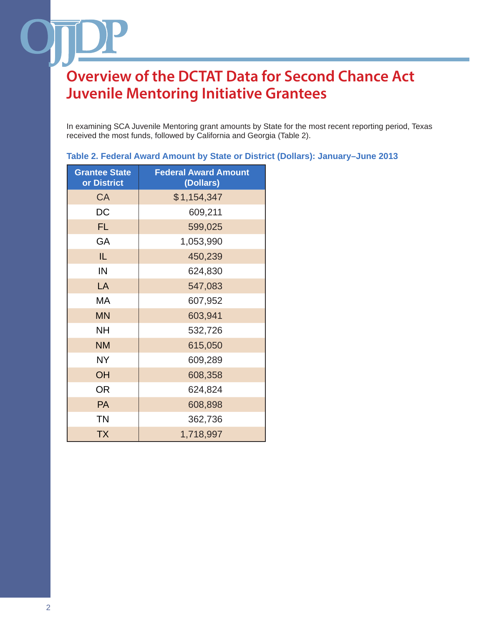In examining SCA Juvenile Mentoring grant amounts by State for the most recent reporting period, Texas received the most funds, followed by California and Georgia (Table 2).

| <b>Grantee State</b><br>or District | <b>Federal Award Amount</b><br>(Dollars) |
|-------------------------------------|------------------------------------------|
| <b>CA</b>                           | \$1,154,347                              |
| DC                                  | 609,211                                  |
| <b>FL</b>                           | 599,025                                  |
| GA                                  | 1,053,990                                |
| IL.                                 | 450,239                                  |
| IN                                  | 624,830                                  |
| LA                                  | 547,083                                  |
| МA                                  | 607,952                                  |
| <b>MN</b>                           | 603,941                                  |
| <b>NH</b>                           | 532,726                                  |
| <b>NM</b>                           | 615,050                                  |
| NΥ                                  | 609,289                                  |
| OH                                  | 608,358                                  |
| <b>OR</b>                           | 624,824                                  |
| PA                                  | 608,898                                  |
| <b>TN</b>                           | 362,736                                  |
| <b>TX</b>                           | 1,718,997                                |

#### **Table 2. Federal Award Amount by State or District (Dollars): January–June 2013**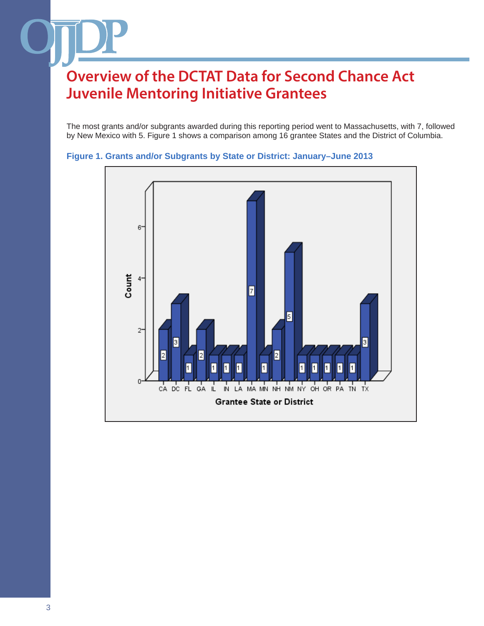The most grants and/or subgrants awarded during this reporting period went to Massachusetts, with 7, followed by New Mexico with 5. Figure 1 shows a comparison among 16 grantee States and the District of Columbia.



#### **Figure 1. Grants and/or Subgrants by State or District: January–June 2013**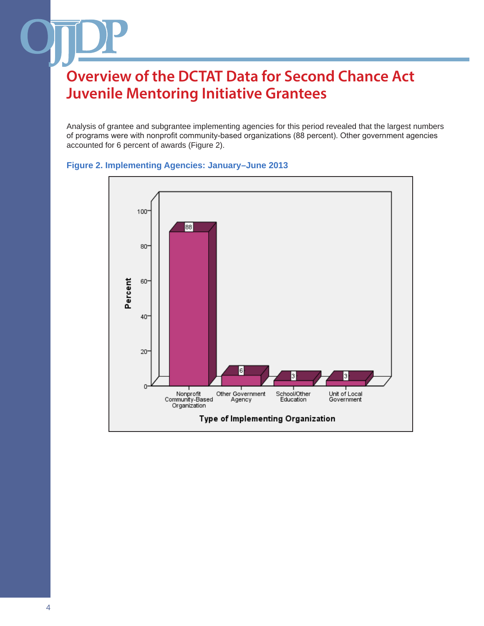Analysis of grantee and subgrantee implementing agencies for this period revealed that the largest numbers of programs were with nonprofit community-based organizations (88 percent). Other government agencies accounted for 6 percent of awards (Figure 2).



### **Figure 2. Implementing Agencies: January–June 2013**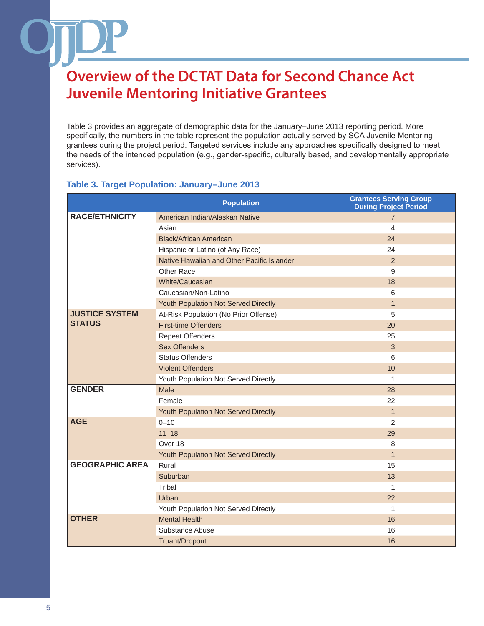Table 3 provides an aggregate of demographic data for the January–June 2013 reporting period. More specifically, the numbers in the table represent the population actually served by SCA Juvenile Mentoring grantees during the project period. Targeted services include any approaches specifically designed to meet the needs of the intended population (e.g., gender-specific, culturally based, and developmentally appropriate services).

### **Table 3. Target Population: January–June 2013**

|                        | <b>Population</b>                          | <b>Grantees Serving Group</b><br><b>During Project Period</b> |
|------------------------|--------------------------------------------|---------------------------------------------------------------|
| <b>RACE/ETHNICITY</b>  | American Indian/Alaskan Native             | $\overline{7}$                                                |
|                        | Asian                                      | 4                                                             |
|                        | <b>Black/African American</b>              | 24                                                            |
|                        | Hispanic or Latino (of Any Race)           | 24                                                            |
|                        | Native Hawaiian and Other Pacific Islander | 2                                                             |
|                        | Other Race                                 | 9                                                             |
|                        | White/Caucasian                            | 18                                                            |
|                        | Caucasian/Non-Latino                       | 6                                                             |
|                        | Youth Population Not Served Directly       | $\mathbf{1}$                                                  |
| <b>JUSTICE SYSTEM</b>  | At-Risk Population (No Prior Offense)      | 5                                                             |
| <b>STATUS</b>          | <b>First-time Offenders</b>                | 20                                                            |
|                        | <b>Repeat Offenders</b>                    | 25                                                            |
|                        | <b>Sex Offenders</b>                       | $\mathbf{3}$                                                  |
|                        | <b>Status Offenders</b>                    | 6                                                             |
|                        | <b>Violent Offenders</b>                   | 10                                                            |
|                        | Youth Population Not Served Directly       | 1                                                             |
| <b>GENDER</b>          | Male                                       | 28                                                            |
|                        | Female                                     | 22                                                            |
|                        | Youth Population Not Served Directly       | $\mathbf{1}$                                                  |
| <b>AGE</b>             | $0 - 10$                                   | $\overline{2}$                                                |
|                        | $11 - 18$                                  | 29                                                            |
|                        | Over 18                                    | 8                                                             |
|                        | Youth Population Not Served Directly       | $\mathbf{1}$                                                  |
| <b>GEOGRAPHIC AREA</b> | Rural                                      | 15                                                            |
|                        | Suburban                                   | 13                                                            |
|                        | Tribal                                     | 1                                                             |
|                        | Urban                                      | 22                                                            |
|                        | Youth Population Not Served Directly       | $\mathbf{1}$                                                  |
| <b>OTHER</b>           | <b>Mental Health</b>                       | 16                                                            |
|                        | Substance Abuse                            | 16                                                            |
|                        | Truant/Dropout                             | 16                                                            |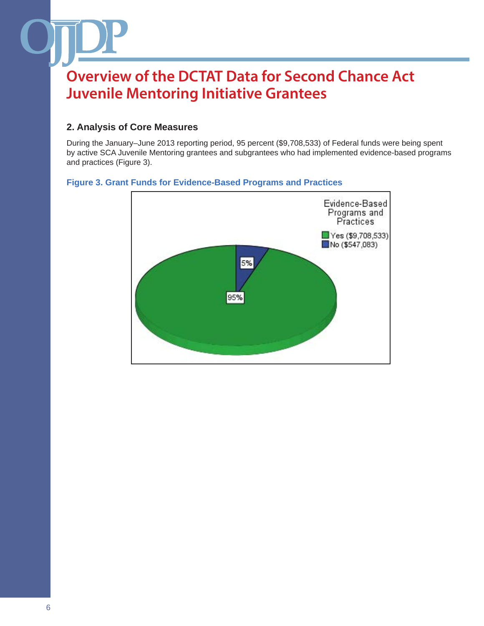### **2. Analysis of Core Measures**

During the January–June 2013 reporting period, 95 percent (\$9,708,533) of Federal funds were being spent by active SCA Juvenile Mentoring grantees and subgrantees who had implemented evidence-based programs and practices (Figure 3).

### **Figure 3. Grant Funds for Evidence-Based Programs and Practices**

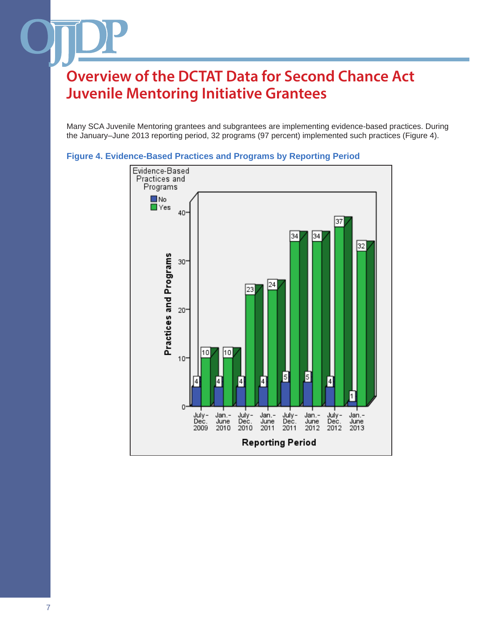Many SCA Juvenile Mentoring grantees and subgrantees are implementing evidence-based practices. During the January–June 2013 reporting period, 32 programs (97 percent) implemented such practices (Figure 4).



#### **Figure 4. Evidence-Based Practices and Programs by Reporting Period**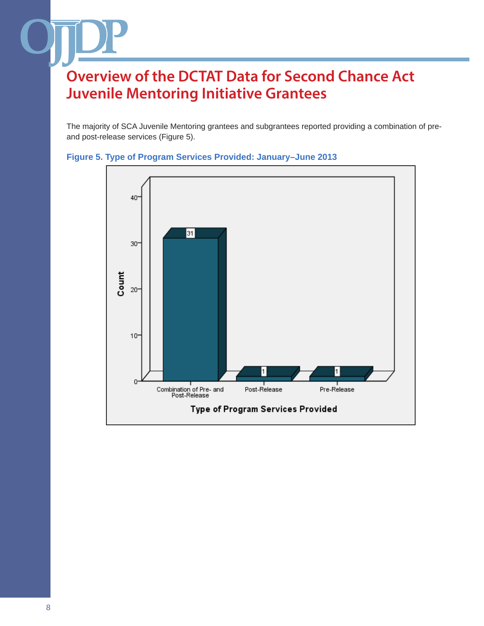The majority of SCA Juvenile Mentoring grantees and subgrantees reported providing a combination of preand post-release services (Figure 5).



### **Figure 5. Type of Program Services Provided: January–June 2013**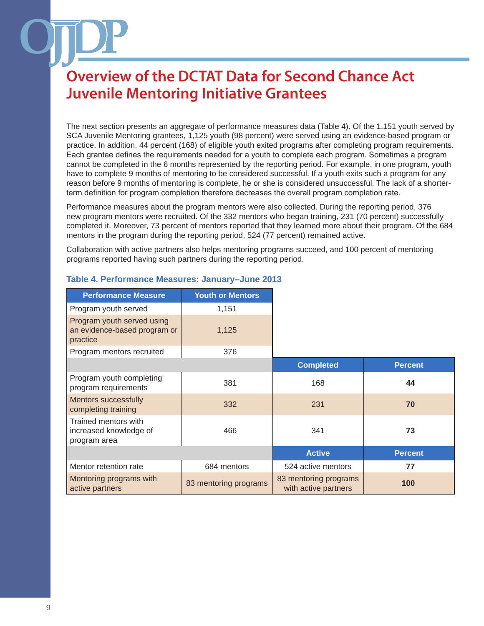The next section presents an aggregate of performance measures data (Table 4). Of the 1,151 youth served by SCA Juvenile Mentoring grantees, 1,125 youth (98 percent) were served using an evidence-based program or practice. In addition, 44 percent (168) of eligible youth exited programs after completing program requirements. Each grantee defines the requirements needed for a youth to complete each program. Sometimes a program cannot be completed in the 6 months represented by the reporting period. For example, in one program, youth have to complete 9 months of mentoring to be considered successful. If a youth exits such a program for any reason before 9 months of mentoring is complete, he or she is considered unsuccessful. The lack of a shorterterm definition for program completion therefore decreases the overall program completion rate.

Performance measures about the program mentors were also collected. During the reporting period, 376 new program mentors were recruited. Of the 332 mentors who began training, 231 (70 percent) successfully completed it. Moreover, 73 percent of mentors reported that they learned more about their program. Of the 684 mentors in the program during the reporting period, 524 (77 percent) remained active.

Collaboration with active partners also helps mentoring programs succeed, and 100 percent of mentoring programs reported having such partners during the reporting period.

| <b>Performance Measure</b>                                             | <b>Youth or Mentors</b> |                                               |                |
|------------------------------------------------------------------------|-------------------------|-----------------------------------------------|----------------|
| Program youth served                                                   | 1,151                   |                                               |                |
| Program youth served using<br>an evidence-based program or<br>practice | 1,125                   |                                               |                |
| Program mentors recruited                                              | 376                     |                                               |                |
|                                                                        |                         | <b>Completed</b>                              | <b>Percent</b> |
| Program youth completing<br>program requirements                       | 381                     | 168                                           | 44             |
| <b>Mentors successfully</b><br>completing training                     | 332                     | 231                                           | 70             |
| Trained mentors with<br>increased knowledge of<br>program area         | 466                     | 341                                           | 73             |
|                                                                        |                         | <b>Active</b>                                 | <b>Percent</b> |
| Mentor retention rate                                                  | 684 mentors             | 524 active mentors                            | 77             |
| Mentoring programs with<br>active partners                             | 83 mentoring programs   | 83 mentoring programs<br>with active partners | 100            |

### **Table 4. Performance Measures: January–June 2013**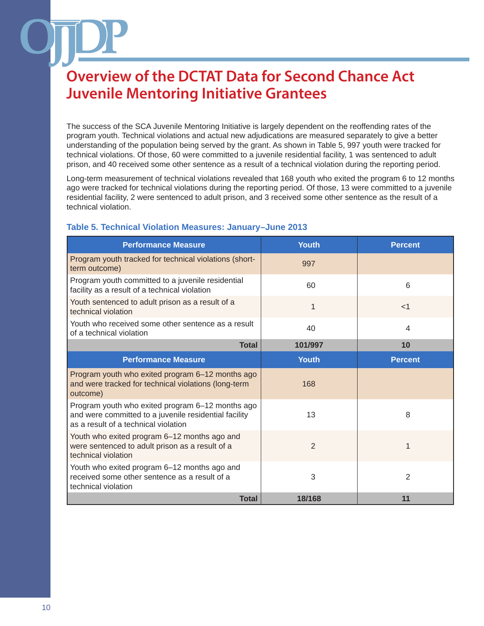The success of the SCA Juvenile Mentoring Initiative is largely dependent on the reoffending rates of the program youth. Technical violations and actual new adjudications are measured separately to give a better understanding of the population being served by the grant. As shown in Table 5, 997 youth were tracked for technical violations. Of those, 60 were committed to a juvenile residential facility, 1 was sentenced to adult prison, and 40 received some other sentence as a result of a technical violation during the reporting period.

Long-term measurement of technical violations revealed that 168 youth who exited the program 6 to 12 months ago were tracked for technical violations during the reporting period. Of those, 13 were committed to a juvenile residential facility, 2 were sentenced to adult prison, and 3 received some other sentence as the result of a technical violation.

### **Table 5. Technical Violation Measures: January–June 2013**

| <b>Performance Measure</b>                                                                                                                        | Youth          | <b>Percent</b> |
|---------------------------------------------------------------------------------------------------------------------------------------------------|----------------|----------------|
| Program youth tracked for technical violations (short-<br>term outcome)                                                                           | 997            |                |
| Program youth committed to a juvenile residential<br>facility as a result of a technical violation                                                | 60             | 6              |
| Youth sentenced to adult prison as a result of a<br>technical violation                                                                           | 1              | $<$ 1          |
| Youth who received some other sentence as a result<br>of a technical violation                                                                    | 40             | 4              |
| <b>Total</b>                                                                                                                                      | 101/997        | 10             |
| <b>Performance Measure</b>                                                                                                                        | <b>Youth</b>   | <b>Percent</b> |
| Program youth who exited program 6-12 months ago<br>and were tracked for technical violations (long-term<br>outcome)                              | 168            |                |
| Program youth who exited program 6-12 months ago<br>and were committed to a juvenile residential facility<br>as a result of a technical violation | 13             | 8              |
| Youth who exited program 6-12 months ago and<br>were sentenced to adult prison as a result of a<br>technical violation                            | $\overline{2}$ |                |
| Youth who exited program 6-12 months ago and<br>received some other sentence as a result of a<br>technical violation                              | 3              | 2              |
| <b>Total</b>                                                                                                                                      | 18/168         | 11             |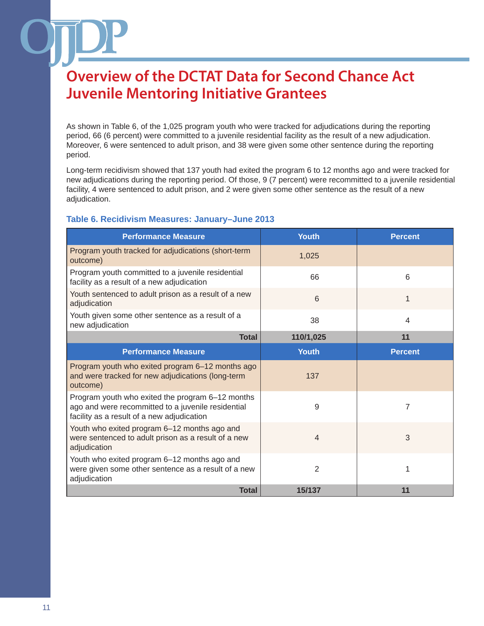As shown in Table 6, of the 1,025 program youth who were tracked for adjudications during the reporting period, 66 (6 percent) were committed to a juvenile residential facility as the result of a new adjudication. Moreover, 6 were sentenced to adult prison, and 38 were given some other sentence during the reporting period.

Long-term recidivism showed that 137 youth had exited the program 6 to 12 months ago and were tracked for new adjudications during the reporting period. Of those, 9 (7 percent) were recommitted to a juvenile residential facility, 4 were sentenced to adult prison, and 2 were given some other sentence as the result of a new adjudication.

#### **Table 6. Recidivism Measures: January–June 2013**

| <b>Performance Measure</b>                                                                                                                           | Youth          | <b>Percent</b> |
|------------------------------------------------------------------------------------------------------------------------------------------------------|----------------|----------------|
| Program youth tracked for adjudications (short-term<br>outcome)                                                                                      | 1,025          |                |
| Program youth committed to a juvenile residential<br>facility as a result of a new adjudication                                                      | 66             | 6              |
| Youth sentenced to adult prison as a result of a new<br>adjudication                                                                                 | 6              | $\mathbf{1}$   |
| Youth given some other sentence as a result of a<br>new adjudication                                                                                 | 38             | 4              |
| <b>Total</b>                                                                                                                                         | 110/1,025      | 11             |
| <b>Performance Measure</b>                                                                                                                           | <b>Youth</b>   | <b>Percent</b> |
| Program youth who exited program 6-12 months ago<br>and were tracked for new adjudications (long-term<br>outcome)                                    | 137            |                |
| Program youth who exited the program 6-12 months<br>ago and were recommitted to a juvenile residential<br>facility as a result of a new adjudication | 9              | $\overline{7}$ |
| Youth who exited program 6-12 months ago and<br>were sentenced to adult prison as a result of a new<br>adjudication                                  | $\overline{4}$ | 3              |
| Youth who exited program 6-12 months ago and<br>were given some other sentence as a result of a new<br>adjudication                                  | $\overline{2}$ |                |
| <b>Total</b>                                                                                                                                         | 15/137         | 11             |